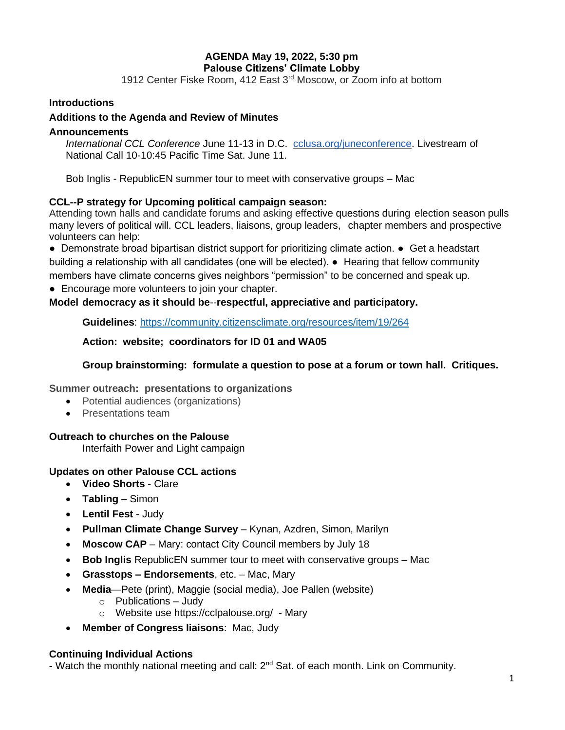# **AGENDA May 19, 2022, 5:30 pm Palouse Citizens' Climate Lobby**

1912 Center Fiske Room, 412 East 3rd Moscow, or Zoom info at bottom

## **Introductions**

### **Additions to the Agenda and Review of Minutes**

### **Announcements**

*International CCL Conference* June 11-13 in D.C. [cclusa.org/juneconference.](http://cclusa.org/juneconference) Livestream of National Call 10-10:45 Pacific Time Sat. June 11.

Bob Inglis - RepublicEN summer tour to meet with conservative groups – Mac

## **CCL--P strategy for Upcoming political campaign season:**

Attending town halls and candidate forums and asking effective questions during election season pulls many levers of political will. CCL leaders, liaisons, group leaders, chapter members and prospective volunteers can help:

● Demonstrate broad bipartisan district support for prioritizing climate action. ● Get a headstart building a relationship with all candidates (one will be elected). ● Hearing that fellow community members have climate concerns gives neighbors "permission" to be concerned and speak up.

• Encourage more volunteers to join your chapter.

## **Model democracy as it should be**--**respectful, appreciative and participatory.**

**Guidelines**:<https://community.citizensclimate.org/resources/item/19/264>

### **Action: website; coordinators for ID 01 and WA05**

### **Group brainstorming: formulate a question to pose at a forum or town hall. Critiques.**

### **Summer outreach: presentations to organizations**

- Potential audiences (organizations)
- Presentations team

### **Outreach to churches on the Palouse**

Interfaith Power and Light campaign

# **Updates on other Palouse CCL actions**

- **Video Shorts** Clare
- **Tabling** Simon
- **Lentil Fest**  Judy
- **Pullman Climate Change Survey** Kynan, Azdren, Simon, Marilyn
- **Moscow CAP** Mary: contact City Council members by July 18
- **Bob Inglis** RepublicEN summer tour to meet with conservative groups Mac
- **Grasstops – Endorsements**, etc. Mac, Mary
- **Media**—Pete (print), Maggie (social media), Joe Pallen (website)
	- o Publications Judy
	- o Website use<https://cclpalouse.org/> Mary
- **Member of Congress liaisons**: Mac, Judy

### **Continuing Individual Actions**

**-** Watch the monthly national meeting and call: 2nd Sat. of each month. Link on Community.